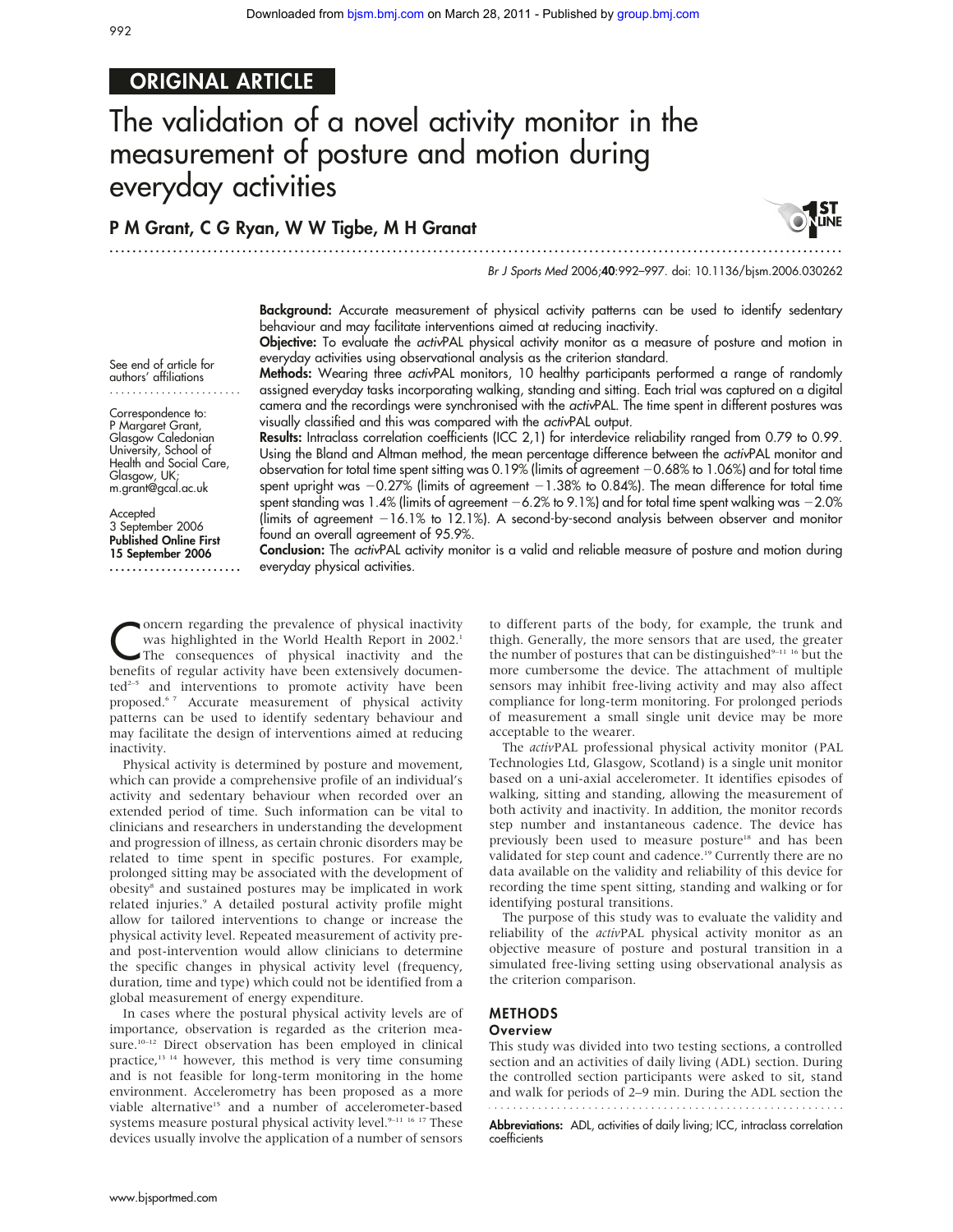## ORIGINAL ARTICLE

# The validation of a novel activity monitor in the measurement of posture and motion during everyday activities

## P M Grant, C G Ryan, W W Tigbe, M H Granat

.............................................................................................................................. .



Br J Sports Med 2006;40:992–997. doi: 10.1136/bjsm.2006.030262

Background: Accurate measurement of physical activity patterns can be used to identify sedentary behaviour and may facilitate interventions aimed at reducing inactivity.

Objective: To evaluate the activPAL physical activity monitor as a measure of posture and motion in everyday activities using observational analysis as the criterion standard.

See end of article for authors' affiliations .......................

Correspondence to: P Margaret Grant, Glasgow Caledonian University, School of Health and Social Care, Glasgow, UK; m.grant@gcal.ac.uk

**Accepted** 3 September 2006 Published Online First 15 September 2006 ....................... Methods: Wearing three *activ*PAL monitors, 10 healthy participants performed a range of randomly assigned everyday tasks incorporating walking, standing and sitting. Each trial was captured on a digital camera and the recordings were synchronised with the activPAL. The time spent in different postures was visually classified and this was compared with the activPAL output.

Results: Intraclass correlation coefficients (ICC 2,1) for interdevice reliability ranged from 0.79 to 0.99. Using the Bland and Altman method, the mean percentage difference between the activPAL monitor and observation for total time spent sitting was 0.19% (limits of agreement -0.68% to 1.06%) and for total time spent upright was  $-0.27\%$  (limits of agreement  $-1.38\%$  to 0.84%). The mean difference for total time spent standing was 1.4% (limits of agreement  $-6.2\%$  to 9.1%) and for total time spent walking was  $-2.0\%$ (limits of agreement  $-16.1\%$  to 12.1%). A second-by-second analysis between observer and monitor found an overall agreement of 95.9%.

Conclusion: The activPAL activity monitor is a valid and reliable measure of posture and motion during everyday physical activities.

Oncern regarding the prevalence of physical inactivity<br>
The consequences of physical inactivity and the<br>
benefits of regular activity have been autorized degrees was highlighted in the World Health Report in 2002.<sup>1</sup> benefits of regular activity have been extensively documen $ted^{2-5}$  and interventions to promote activity have been proposed.6 7 Accurate measurement of physical activity patterns can be used to identify sedentary behaviour and may facilitate the design of interventions aimed at reducing inactivity.

Physical activity is determined by posture and movement, which can provide a comprehensive profile of an individual's activity and sedentary behaviour when recorded over an extended period of time. Such information can be vital to clinicians and researchers in understanding the development and progression of illness, as certain chronic disorders may be related to time spent in specific postures. For example, prolonged sitting may be associated with the development of obesity<sup>8</sup> and sustained postures may be implicated in work related injuries.<sup>9</sup> A detailed postural activity profile might allow for tailored interventions to change or increase the physical activity level. Repeated measurement of activity preand post-intervention would allow clinicians to determine the specific changes in physical activity level (frequency, duration, time and type) which could not be identified from a global measurement of energy expenditure.

In cases where the postural physical activity levels are of importance, observation is regarded as the criterion measure.<sup>10-12</sup> Direct observation has been employed in clinical practice,13 14 however, this method is very time consuming and is not feasible for long-term monitoring in the home environment. Accelerometry has been proposed as a more viable alternative<sup>15</sup> and a number of accelerometer-based systems measure postural physical activity level.<sup>9-11 16</sup> <sup>17</sup> These devices usually involve the application of a number of sensors

to different parts of the body, for example, the trunk and thigh. Generally, the more sensors that are used, the greater the number of postures that can be distinguished<sup>9-11</sup> <sup>16</sup> but the more cumbersome the device. The attachment of multiple sensors may inhibit free-living activity and may also affect compliance for long-term monitoring. For prolonged periods of measurement a small single unit device may be more acceptable to the wearer.

The activPAL professional physical activity monitor (PAL Technologies Ltd, Glasgow, Scotland) is a single unit monitor based on a uni-axial accelerometer. It identifies episodes of walking, sitting and standing, allowing the measurement of both activity and inactivity. In addition, the monitor records step number and instantaneous cadence. The device has previously been used to measure posture<sup>18</sup> and has been validated for step count and cadence.<sup>19</sup> Currently there are no data available on the validity and reliability of this device for recording the time spent sitting, standing and walking or for identifying postural transitions.

The purpose of this study was to evaluate the validity and reliability of the activPAL physical activity monitor as an objective measure of posture and postural transition in a simulated free-living setting using observational analysis as the criterion comparison.

#### METHODS

#### **Overview**

This study was divided into two testing sections, a controlled section and an activities of daily living (ADL) section. During the controlled section participants were asked to sit, stand and walk for periods of 2–9 min. During the ADL section the 

Abbreviations: ADL, activities of daily living; ICC, intraclass correlation coefficients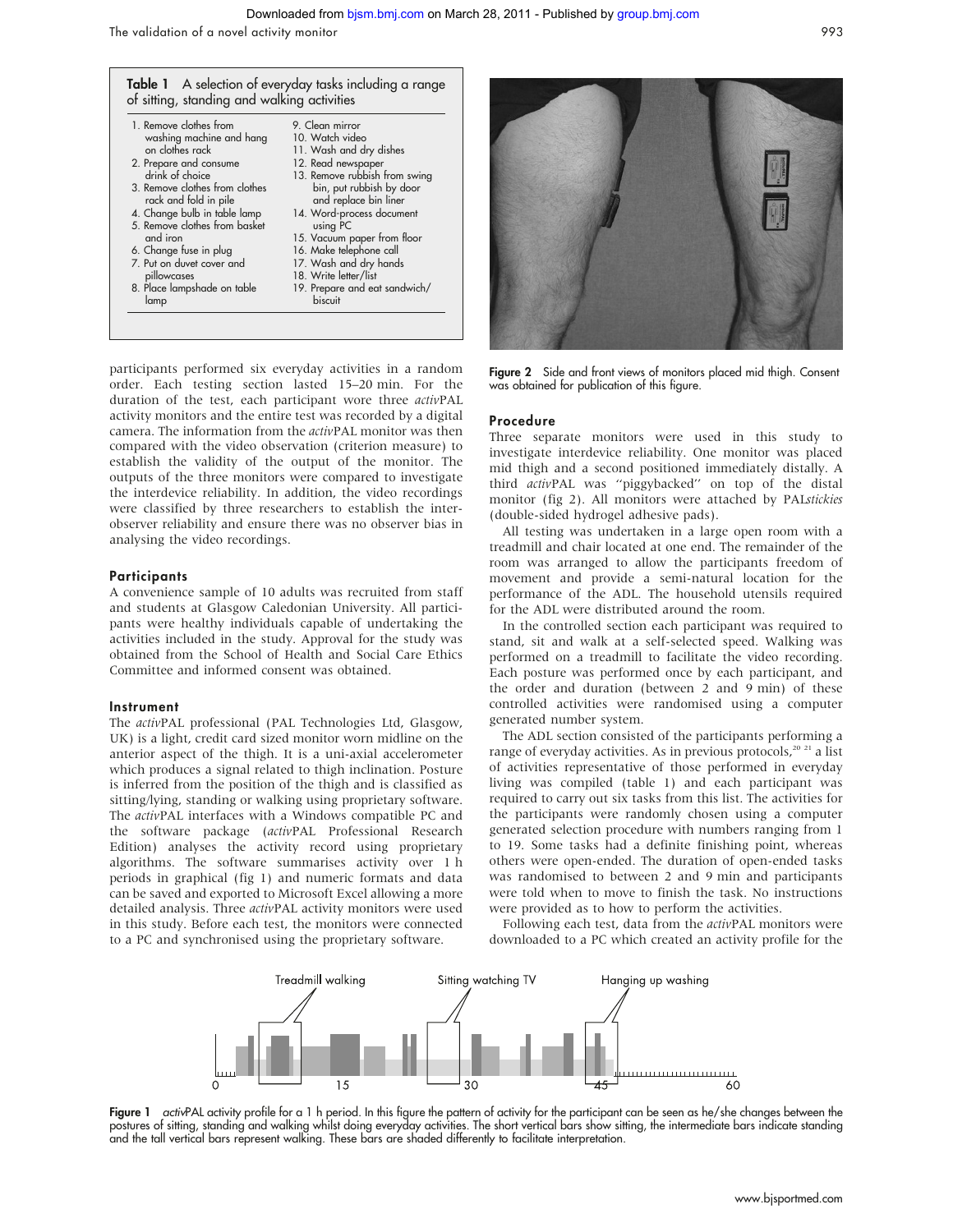

participants performed six everyday activities in a random order. Each testing section lasted 15–20 min. For the duration of the test, each participant wore three activPAL activity monitors and the entire test was recorded by a digital camera. The information from the activPAL monitor was then compared with the video observation (criterion measure) to establish the validity of the output of the monitor. The outputs of the three monitors were compared to investigate the interdevice reliability. In addition, the video recordings were classified by three researchers to establish the interobserver reliability and ensure there was no observer bias in analysing the video recordings.

#### **Participants**

A convenience sample of 10 adults was recruited from staff and students at Glasgow Caledonian University. All participants were healthy individuals capable of undertaking the activities included in the study. Approval for the study was obtained from the School of Health and Social Care Ethics Committee and informed consent was obtained.

#### Instrument

The activPAL professional (PAL Technologies Ltd, Glasgow, UK) is a light, credit card sized monitor worn midline on the anterior aspect of the thigh. It is a uni-axial accelerometer which produces a signal related to thigh inclination. Posture is inferred from the position of the thigh and is classified as sitting/lying, standing or walking using proprietary software. The activPAL interfaces with a Windows compatible PC and the software package (activPAL Professional Research Edition) analyses the activity record using proprietary algorithms. The software summarises activity over 1 h periods in graphical (fig 1) and numeric formats and data can be saved and exported to Microsoft Excel allowing a more detailed analysis. Three activPAL activity monitors were used in this study. Before each test, the monitors were connected to a PC and synchronised using the proprietary software.



**Figure 2** Side and front views of monitors placed mid thigh. Consent was obtained for publication of this figure.

#### Procedure

Three separate monitors were used in this study to investigate interdevice reliability. One monitor was placed mid thigh and a second positioned immediately distally. A third activPAL was ''piggybacked'' on top of the distal monitor (fig 2). All monitors were attached by PALstickies (double-sided hydrogel adhesive pads).

All testing was undertaken in a large open room with a treadmill and chair located at one end. The remainder of the room was arranged to allow the participants freedom of movement and provide a semi-natural location for the performance of the ADL. The household utensils required for the ADL were distributed around the room.

In the controlled section each participant was required to stand, sit and walk at a self-selected speed. Walking was performed on a treadmill to facilitate the video recording. Each posture was performed once by each participant, and the order and duration (between 2 and 9 min) of these controlled activities were randomised using a computer generated number system.

The ADL section consisted of the participants performing a range of everyday activities. As in previous protocols, $20\frac{2}{1}$  a list of activities representative of those performed in everyday living was compiled (table 1) and each participant was required to carry out six tasks from this list. The activities for the participants were randomly chosen using a computer generated selection procedure with numbers ranging from 1 to 19. Some tasks had a definite finishing point, whereas others were open-ended. The duration of open-ended tasks was randomised to between 2 and 9 min and participants were told when to move to finish the task. No instructions were provided as to how to perform the activities.

Following each test, data from the activPAL monitors were downloaded to a PC which created an activity profile for the



Figure 1 activPAL activity profile for a 1 h period. In this figure the pattern of activity for the participant can be seen as he/she changes between the postures of sitting, standing and walking whilst doing everyday activities. The short vertical bars show sitting, the intermediate bars indicate standing and the tall vertical bars represent walking. These bars are shaded differently to facilitate interpretation.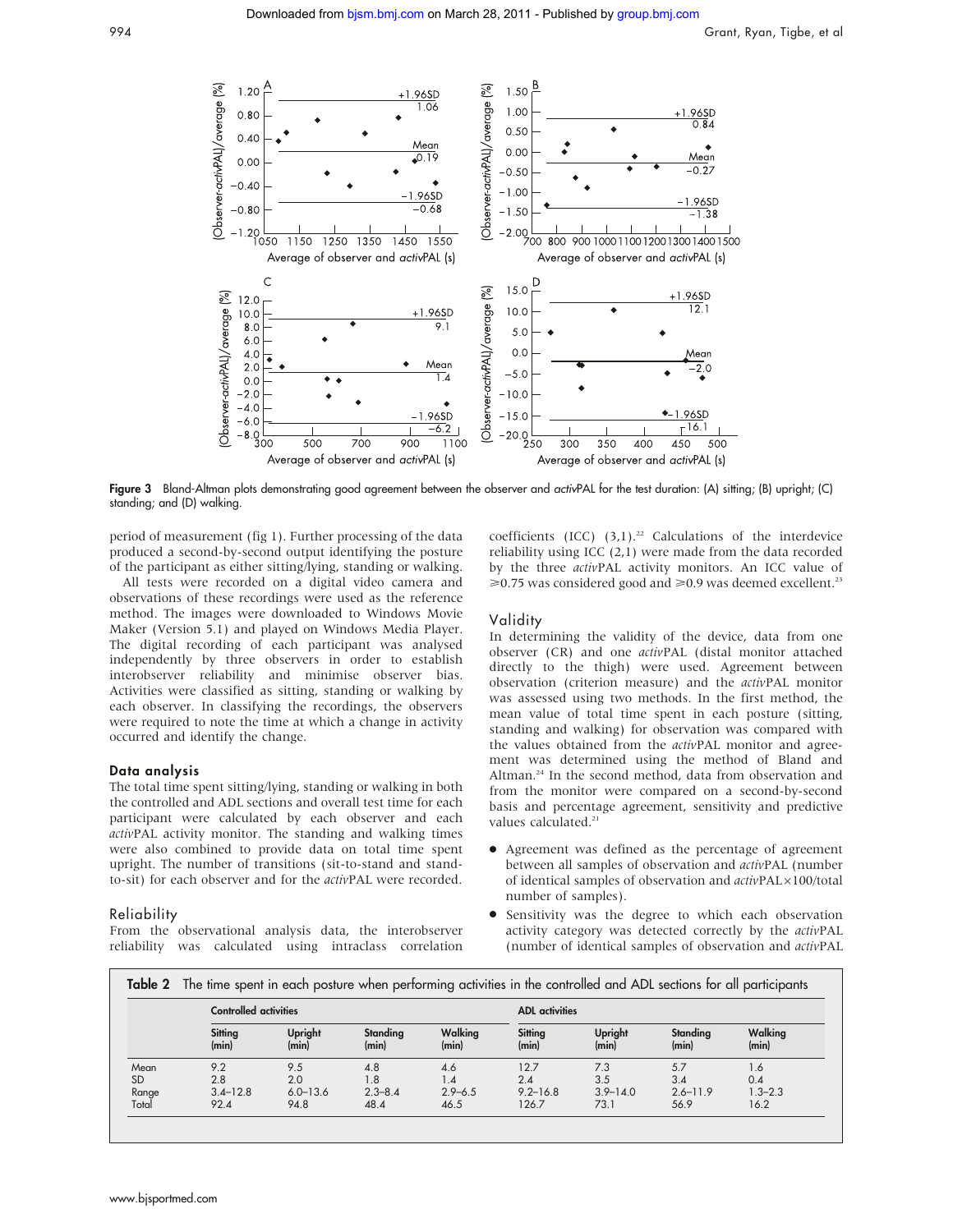

Figure 3 Bland-Altman plots demonstrating good agreement between the observer and activPAL for the test duration: (A) sitting; (B) upright; (C) standing; and (D) walking.

period of measurement (fig 1). Further processing of the data produced a second-by-second output identifying the posture of the participant as either sitting/lying, standing or walking.

All tests were recorded on a digital video camera and observations of these recordings were used as the reference method. The images were downloaded to Windows Movie Maker (Version 5.1) and played on Windows Media Player. The digital recording of each participant was analysed independently by three observers in order to establish interobserver reliability and minimise observer bias. Activities were classified as sitting, standing or walking by each observer. In classifying the recordings, the observers were required to note the time at which a change in activity occurred and identify the change.

#### Data analysis

The total time spent sitting/lying, standing or walking in both the controlled and ADL sections and overall test time for each participant were calculated by each observer and each activPAL activity monitor. The standing and walking times were also combined to provide data on total time spent upright. The number of transitions (sit-to-stand and standto-sit) for each observer and for the activPAL were recorded.

#### Reliability

From the observational analysis data, the interobserver reliability was calculated using intraclass correlation coefficients (ICC)  $(3,1)$ .<sup>22</sup> Calculations of the interdevice reliability using ICC (2,1) were made from the data recorded by the three activPAL activity monitors. An ICC value of  $\geq 0.75$  was considered good and  $\geq 0.9$  was deemed excellent.<sup>23</sup>

#### Validity

In determining the validity of the device, data from one observer (CR) and one activPAL (distal monitor attached directly to the thigh) were used. Agreement between observation (criterion measure) and the activPAL monitor was assessed using two methods. In the first method, the mean value of total time spent in each posture (sitting, standing and walking) for observation was compared with the values obtained from the activPAL monitor and agreement was determined using the method of Bland and Altman.<sup>24</sup> In the second method, data from observation and from the monitor were compared on a second-by-second basis and percentage agreement, sensitivity and predictive values calculated.<sup>21</sup>

- Agreement was defined as the percentage of agreement between all samples of observation and activPAL (number of identical samples of observation and  $activity$ PAL $\times100$ /total number of samples).
- Sensitivity was the degree to which each observation activity category was detected correctly by the activPAL (number of identical samples of observation and activPAL

|           | <b>Controlled activities</b> |                  |                   |                  | <b>ADL</b> activities |                  |                   |                  |  |  |
|-----------|------------------------------|------------------|-------------------|------------------|-----------------------|------------------|-------------------|------------------|--|--|
|           | Sitting<br>(min)             | Upright<br>(min) | Standing<br>(min) | Walking<br>(min) | Sitting<br>(min)      | Upright<br>(min) | Standing<br>(min) | Walking<br>(min) |  |  |
| Mean      | 9.2                          | 9.5              | 4.8               | 4.6              | 12.7                  | 7.3              | 5.7               | 1.6              |  |  |
| <b>SD</b> | 2.8                          | 2.0              | 1.8               | 1.4              | 2.4                   | 3.5              | 3.4               | 0.4              |  |  |
| Range     | $3.4 - 12.8$                 | $6.0 - 13.6$     | $2.3 - 8.4$       | $2.9 - 6.5$      | $9.2 - 16.8$          | $3.9 - 14.0$     | $2.6 - 11.9$      | $1.3 - 2.3$      |  |  |
| Total     | 92.4                         | 94.8             | 48.4              | 46.5             | 126.7                 | 73.1             | 56.9              | 16.2             |  |  |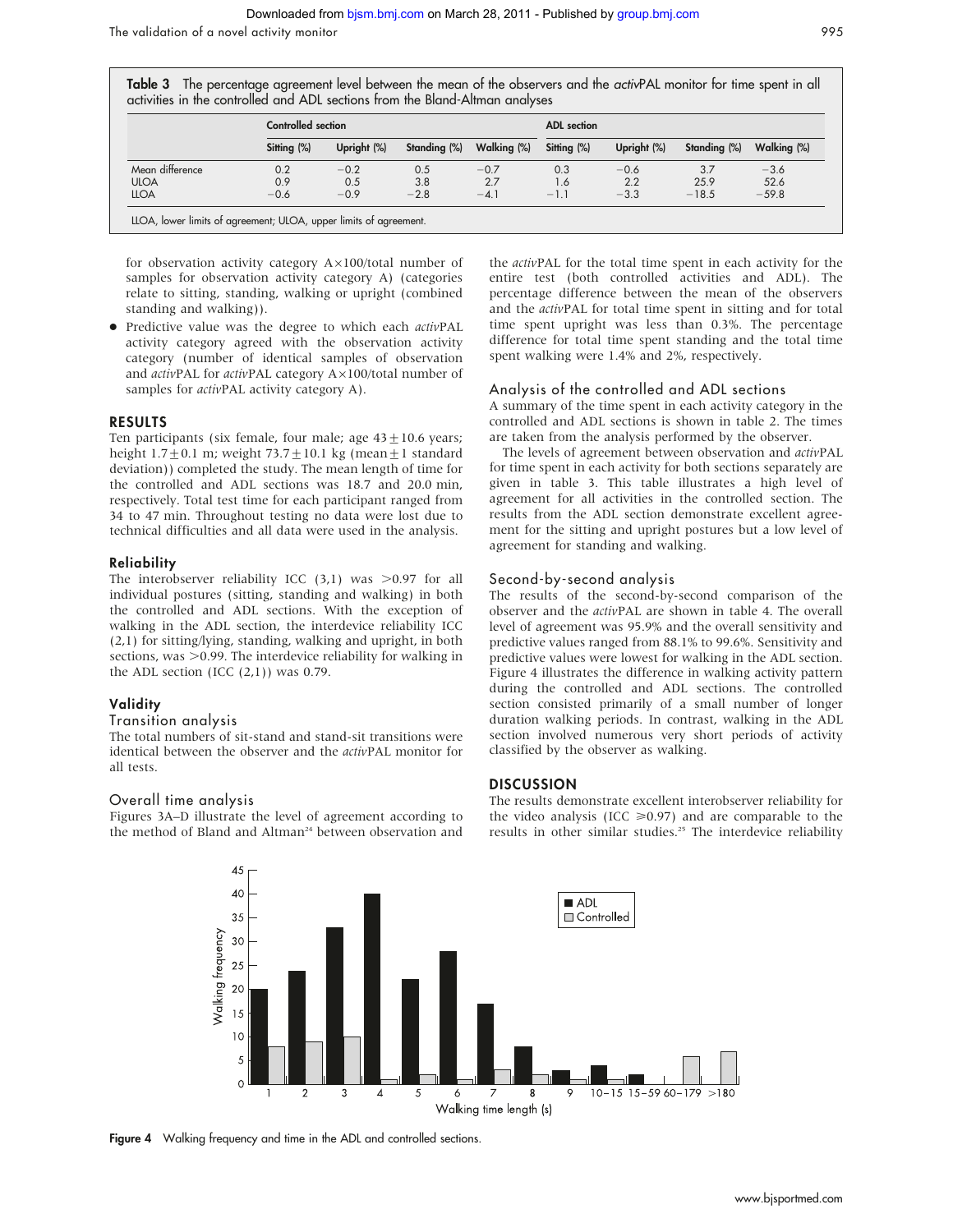The validation of a novel activity monitor 995

Table 3 The percentage agreement level between the mean of the observers and the activPAL monitor for time spent in all activities in the controlled and ADL sections from the Bland-Altman analyses

|                 | Controlled section | <b>ADL</b> section |              |             |             |             |              |             |
|-----------------|--------------------|--------------------|--------------|-------------|-------------|-------------|--------------|-------------|
|                 | Sitting (%)        | Upright (%)        | Standing (%) | Walking (%) | Sitting (%) | Upright (%) | Standing (%) | Walking (%) |
| Mean difference | 0.2                | $-0.2$             | 0.5          | $-0.7$      | 0.3         | $-0.6$      | 3.7          | $-3.6$      |
| <b>ULOA</b>     | 0.9                | 0.5                | 3.8          | 2.7         | 1.6         | 2.2         | 25.9         | 52.6        |
| <b>LLOA</b>     | $-0.6$             | $-0.9$             | $-2.8$       | $-4.1$      | $-1.1$      | $-3.3$      | $-18.5$      | $-59.8$     |

for observation activity category  $A \times 100$ /total number of samples for observation activity category A) (categories relate to sitting, standing, walking or upright (combined standing and walking)).

• Predictive value was the degree to which each activPAL activity category agreed with the observation activity category (number of identical samples of observation and activPAL for activPAL category  $A \times 100$ /total number of samples for *activPAL* activity category A).

#### RESULTS

Ten participants (six female, four male; age  $43 \pm 10.6$  years; height  $1.7 \pm 0.1$  m; weight  $73.7 \pm 10.1$  kg (mean $\pm 1$  standard deviation)) completed the study. The mean length of time for the controlled and ADL sections was 18.7 and 20.0 min, respectively. Total test time for each participant ranged from 34 to 47 min. Throughout testing no data were lost due to technical difficulties and all data were used in the analysis.

#### Reliability

The interobserver reliability ICC  $(3,1)$  was  $>0.97$  for all individual postures (sitting, standing and walking) in both the controlled and ADL sections. With the exception of walking in the ADL section, the interdevice reliability ICC (2,1) for sitting/lying, standing, walking and upright, in both sections, was  $>$ 0.99. The interdevice reliability for walking in the ADL section (ICC  $(2,1)$ ) was 0.79.

#### Validity

#### Transition analysis

The total numbers of sit-stand and stand-sit transitions were identical between the observer and the activPAL monitor for all tests.

#### Overall time analysis

Figures 3A–D illustrate the level of agreement according to the method of Bland and Altman<sup>24</sup> between observation and the activPAL for the total time spent in each activity for the entire test (both controlled activities and ADL). The percentage difference between the mean of the observers and the activPAL for total time spent in sitting and for total time spent upright was less than 0.3%. The percentage difference for total time spent standing and the total time spent walking were 1.4% and 2%, respectively.

#### Analysis of the controlled and ADL sections

A summary of the time spent in each activity category in the controlled and ADL sections is shown in table 2. The times are taken from the analysis performed by the observer.

The levels of agreement between observation and activPAL for time spent in each activity for both sections separately are given in table 3. This table illustrates a high level of agreement for all activities in the controlled section. The results from the ADL section demonstrate excellent agreement for the sitting and upright postures but a low level of agreement for standing and walking.

#### Second-by-second analysis

The results of the second-by-second comparison of the observer and the activPAL are shown in table 4. The overall level of agreement was 95.9% and the overall sensitivity and predictive values ranged from 88.1% to 99.6%. Sensitivity and predictive values were lowest for walking in the ADL section. Figure 4 illustrates the difference in walking activity pattern during the controlled and ADL sections. The controlled section consisted primarily of a small number of longer duration walking periods. In contrast, walking in the ADL section involved numerous very short periods of activity classified by the observer as walking.

#### **DISCUSSION**

The results demonstrate excellent interobserver reliability for the video analysis (ICC  $\geq 0.97$ ) and are comparable to the results in other similar studies.<sup>25</sup> The interdevice reliability



Figure 4 Walking frequency and time in the ADL and controlled sections.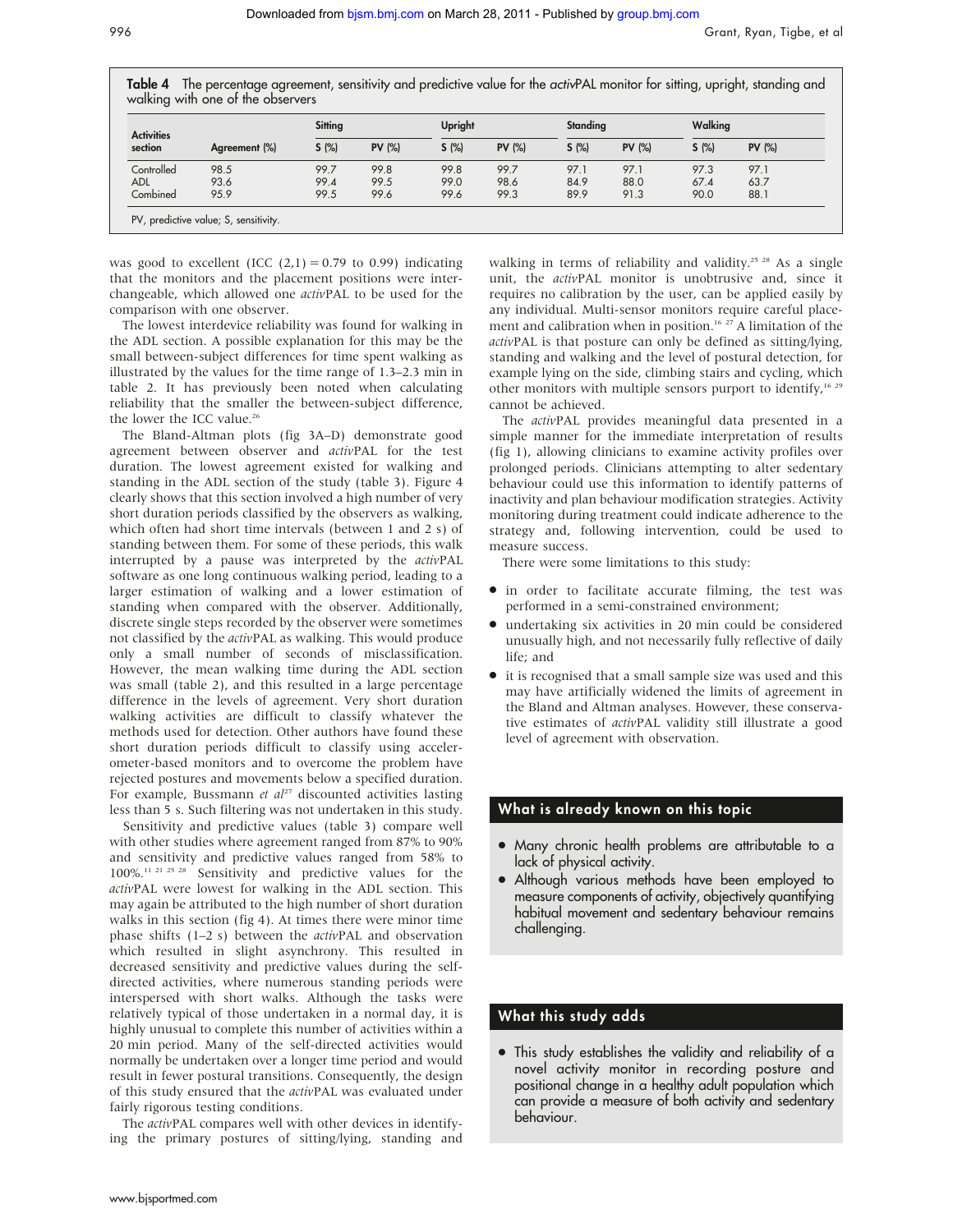Table 4 The percentage agreement, sensitivity and predictive value for the activPAL monitor for sitting, upright, standing and walking with one of the observers

| <b>Activities</b><br>section |               | Sitting |               | Upright |               | Standing |               | Walking |               |
|------------------------------|---------------|---------|---------------|---------|---------------|----------|---------------|---------|---------------|
|                              | Agreement (%) | S(%)    | <b>PV (%)</b> | S(%)    | <b>PV (%)</b> | S(%)     | <b>PV (%)</b> | S(%)    | <b>PV (%)</b> |
| Controlled                   | 98.5          | 99.7    | 99.8          | 99.8    | 99.7          | 97.1     | 97.1          | 97.3    | 97.1          |
| <b>ADL</b>                   | 93.6          | 99.4    | 99.5          | 99.0    | 98.6          | 84.9     | 88.0          | 67.4    | 63.7          |
| Combined                     | 95.9          | 99.5    | 99.6          | 99.6    | 99.3          | 89.9     | 91.3          | 90.0    | 88.1          |

was good to excellent (ICC  $(2,1) = 0.79$  to 0.99) indicating that the monitors and the placement positions were interchangeable, which allowed one activPAL to be used for the comparison with one observer.

The lowest interdevice reliability was found for walking in the ADL section. A possible explanation for this may be the small between-subject differences for time spent walking as illustrated by the values for the time range of 1.3–2.3 min in table 2. It has previously been noted when calculating reliability that the smaller the between-subject difference, the lower the ICC value.<sup>26</sup>

The Bland-Altman plots (fig 3A–D) demonstrate good agreement between observer and activPAL for the test duration. The lowest agreement existed for walking and standing in the ADL section of the study (table 3). Figure 4 clearly shows that this section involved a high number of very short duration periods classified by the observers as walking, which often had short time intervals (between 1 and 2 s) of standing between them. For some of these periods, this walk interrupted by a pause was interpreted by the activPAL software as one long continuous walking period, leading to a larger estimation of walking and a lower estimation of standing when compared with the observer. Additionally, discrete single steps recorded by the observer were sometimes not classified by the activPAL as walking. This would produce only a small number of seconds of misclassification. However, the mean walking time during the ADL section was small (table 2), and this resulted in a large percentage difference in the levels of agreement. Very short duration walking activities are difficult to classify whatever the methods used for detection. Other authors have found these short duration periods difficult to classify using accelerometer-based monitors and to overcome the problem have rejected postures and movements below a specified duration. For example, Bussmann et  $al^{27}$  discounted activities lasting less than 5 s. Such filtering was not undertaken in this study.

Sensitivity and predictive values (table 3) compare well with other studies where agreement ranged from 87% to 90% and sensitivity and predictive values ranged from 58% to 100%.11 21 25 28 Sensitivity and predictive values for the activPAL were lowest for walking in the ADL section. This may again be attributed to the high number of short duration walks in this section (fig 4). At times there were minor time phase shifts (1–2 s) between the activPAL and observation which resulted in slight asynchrony. This resulted in decreased sensitivity and predictive values during the selfdirected activities, where numerous standing periods were interspersed with short walks. Although the tasks were relatively typical of those undertaken in a normal day, it is highly unusual to complete this number of activities within a 20 min period. Many of the self-directed activities would normally be undertaken over a longer time period and would result in fewer postural transitions. Consequently, the design of this study ensured that the activPAL was evaluated under fairly rigorous testing conditions.

The activPAL compares well with other devices in identifying the primary postures of sitting/lying, standing and walking in terms of reliability and validity.<sup>25 28</sup> As a single unit, the activPAL monitor is unobtrusive and, since it requires no calibration by the user, can be applied easily by any individual. Multi-sensor monitors require careful placement and calibration when in position.<sup>16</sup> <sup>27</sup> A limitation of the activPAL is that posture can only be defined as sitting/lying, standing and walking and the level of postural detection, for example lying on the side, climbing stairs and cycling, which other monitors with multiple sensors purport to identify,<sup>16,29</sup> cannot be achieved.

The activPAL provides meaningful data presented in a simple manner for the immediate interpretation of results (fig 1), allowing clinicians to examine activity profiles over prolonged periods. Clinicians attempting to alter sedentary behaviour could use this information to identify patterns of inactivity and plan behaviour modification strategies. Activity monitoring during treatment could indicate adherence to the strategy and, following intervention, could be used to measure success.

There were some limitations to this study:

- $\bullet$  in order to facilitate accurate filming, the test was performed in a semi-constrained environment;
- undertaking six activities in 20 min could be considered unusually high, and not necessarily fully reflective of daily life; and
- $\bullet\;$  it is recognised that a small sample size was used and this may have artificially widened the limits of agreement in the Bland and Altman analyses. However, these conservative estimates of activPAL validity still illustrate a good level of agreement with observation.

### What is already known on this topic

- Many chronic health problems are attributable to a lack of physical activity.
- Although various methods have been employed to measure components of activity, objectively quantifying habitual movement and sedentary behaviour remains challenging.

## What this study adds

• This study establishes the validity and reliability of a novel activity monitor in recording posture and positional change in a healthy adult population which can provide a measure of both activity and sedentary behaviour.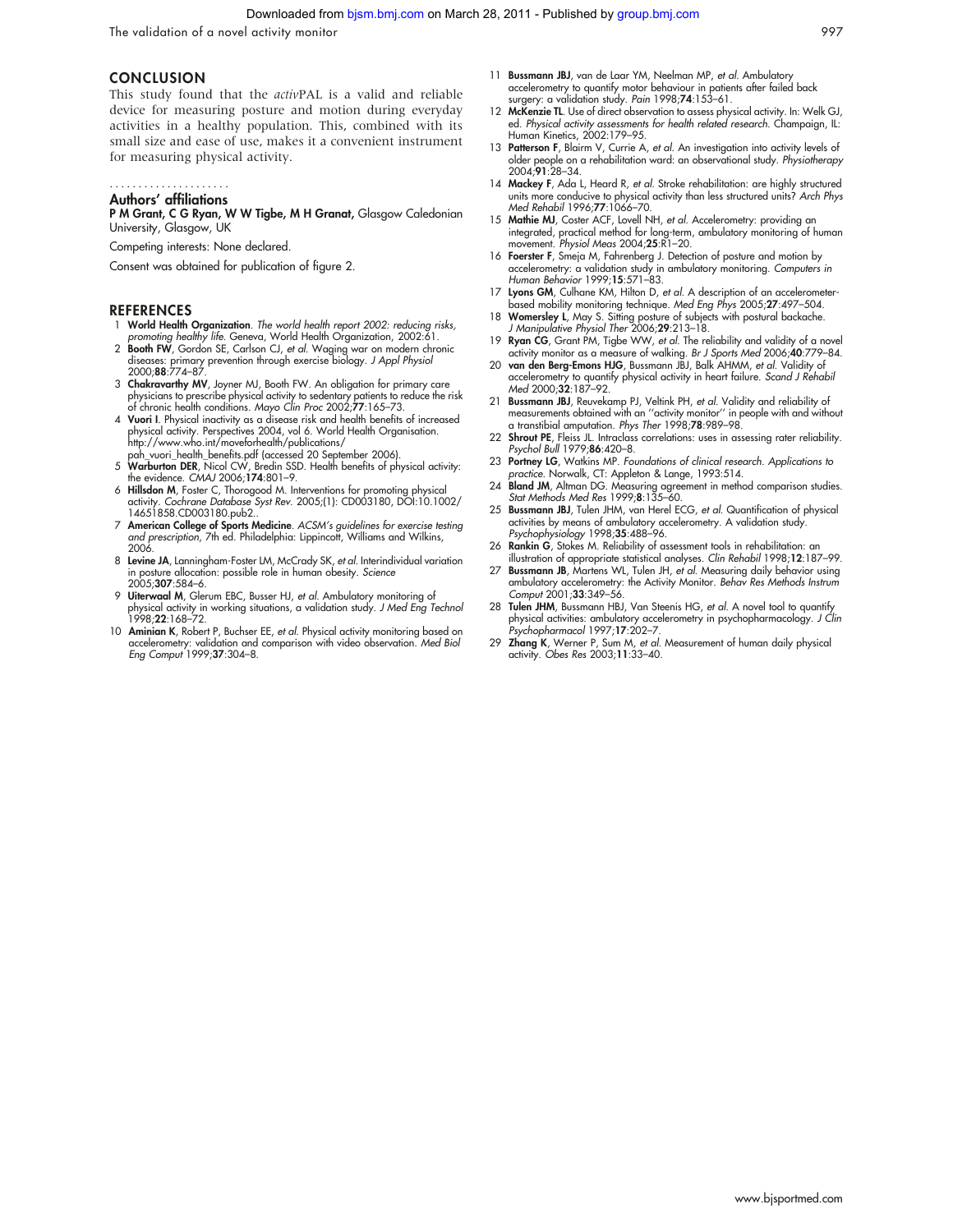#### Downloaded from [bjsm.bmj.com](http://bjsm.bmj.com/) on March 28, 2011 - Published by [group.bmj.com](http://group.bmj.com/)

The validation of a novel activity monitor 997

#### **CONCLUSION**

This study found that the activPAL is a valid and reliable device for measuring posture and motion during everyday activities in a healthy population. This, combined with its small size and ease of use, makes it a convenient instrument for measuring physical activity.

## .....................

Authors' affiliations P M Grant, C G Ryan, W W Tigbe, M H Granat, Glasgow Caledonian University, Glasgow, UK

Competing interests: None declared.

Consent was obtained for publication of figure 2.

#### **REFERENCES**

- 1 World Health Organization. The world health report 2002: reducing risks, promoting healthy life. Geneva, World Health Organization, 2002:61.
- 2 **Booth FW**, Gordon SE, Carlson CJ, *et al.* Waging war on modern chronic<br>diseases: primary prevention through exercise biology. *J Appl Physiol*<br>2000;**88**:774–87.
- 3 Chakravarthy MV, Joyner MJ, Booth FW. An obligation for primary care physicians to prescribe physical activity to sedentary patients to reduce the risk
- of chronic health conditions. *Mayo Clin Proc* 2002;**77**:165–73.<br>4 **Vuori I**. Physical inactivity as a disease risk and health benefits of increased physical activity. Perspectives 2004, vol 6. World Health Organisation. http://www.who.int/moveforhealth/publications/
- pah\_vuori\_health\_benefits.pdf (accessed 20 September 2006).<br>5 Warburton DER, Nicol CW, Bredin SSD. Health benefits of physical activity:
- the evidence. CMAJ 2006;**174**:801–9.<br>6 **Hillsdon M**, Foster C, Thorogood M. Interventions for promoting physical activity. Cochrane Database Syst Rev. 2005;(1): CD003180, DOI:10.1002/ 14651858.CD003180.pub2..
- 7 American College of Sports Medicine. ACSM's guidelines for exercise testing and prescription, 7th ed. Philadelphia: Lippincott, Williams and Wilkins, 2006.
- 8 Levine JA, Lanningham-Foster LM, McCrady SK, et al. Interindividual variation in posture allocation: possible role in human obesity. Science 2005;307:584–6.
- 9 Uiterwaal M, Glerum EBC, Busser HJ, et al. Ambulatory monitoring of physical activity in working situations, a validation study. J Med Eng Technol 1998;22:168–72.
- 10 Aminian K, Robert P, Buchser EE, et al. Physical activity monitoring based on accelerometry: validation and comparison with video observation. *Med Biol*<br>Eng Comput 1999;**37**:304–8.
- 11 Bussmann JBJ, van de Laar YM, Neelman MP, et al. Ambulatory accelerometry to quantify motor behaviour in patients after failed back surgery: a validation study. Pain 1998;74:153–61.
- 12 McKenzie TL. Use of direct observation to assess physical activity. In: Welk GJ, ed. Physical activity assessments for health related research. Champaign, IL: Human Kinetics, 2002:179–95.
- 13 Patterson F, Blairm V, Currie A, et al. An investigation into activity levels of older people on a rehabilitation ward: an observational study. Physiotherapy 2004;91:28–34.
- 14 Mackey F, Ada L, Heard R, et al. Stroke rehabilitation: are highly structured units more conducive to physical activity than less structured units? Arch Phys Med Rehabil 1996;77:1066–70.
- 15 Mathie MJ, Coster ACF, Lovell NH, et al. Accelerometry: providing an integrated, practical method for long-term, ambulatory monitoring of human movement. Physiol Meas 2004;25:R1–20.
- 16 Foerster F, Smeja M, Fahrenberg J. Detection of posture and motion by accelerometry: a validation study in ambulatory monitoring. Computers in Human Behavior 1999;15:571–83.
- 17 Lyons GM, Culhane KM, Hilton D, et al. A description of an accelerometerbased mobility monitoring technique. Med Eng Phys 2005;27:497–504.
- 18 Womersley L, May S. Sitting posture of subjects with postural backache. J Manipulative Physiol Ther 2006;29:213–18.
- 19 Ryan CG, Grant PM, Tigbe WW, et al. The reliability and validity of a novel activity monitor as a measure of walking. *Br J Sports Med* 2006;**40**:779–84.<br>20 **van den Berg-Emons HJG**, Bussmann JBJ, Balk AHMM, *et al*. Validity of
- accelerometry to quantify physical activity in heart failure. Scand J Rehabil Med 2000;32:187-92.
- 21 Bussmann JBJ, Reuvekamp PJ, Veltink PH, et al. Validity and reliability of measurements obtained with an ''activity monitor'' in people with and without a transtibial amputation. Phys Ther 1998;78:989–98.
- 22 Shrout PE, Fleiss JL. Intraclass correlations: uses in assessing rater reliability. Psychol Bull 1979;86:420–8.
- 23 Portney LG, Watkins MP. Foundations of clinical research. Applications to practice. Norwalk, CT: Appleton & Lange, 1993:514.
- 24 Bland JM, Altman DG. Measuring agreement in method comparison studies. Stat Methods Med Res 1999;8:135–60.
- 25 Bussmann JBJ, Tulen JHM, van Herel ECG, et al. Quantification of physical activities by means of ambulatory accelerometry. A validation study. Psychophysiology 1998;35:488-96.
- 26 Rankin G, Stokes M. Reliability of assessment tools in rehabilitation: an illustration of appropriate statistical analyses. Clin Rehabil 1998;12:187–99.
- 27 Bussmann JB, Martens WL, Tulen JH, et al. Measuring daily behavior using ambulatory accelerometry: the Activity Monitor. Behav Res Methods Instrum Comput 2001;33:349–56.
- 28 Tulen JHM, Bussmann HBJ, Van Steenis HG, et al. A novel tool to quantify physical activities: ambulatory accelerometry in psychopharmacology. J Clin Psychopharmacol 1997;17:202–7.
- 29 Zhang K, Werner P, Sum M, et al. Measurement of human daily physical activity. Obes Res 2003;11:33–40.